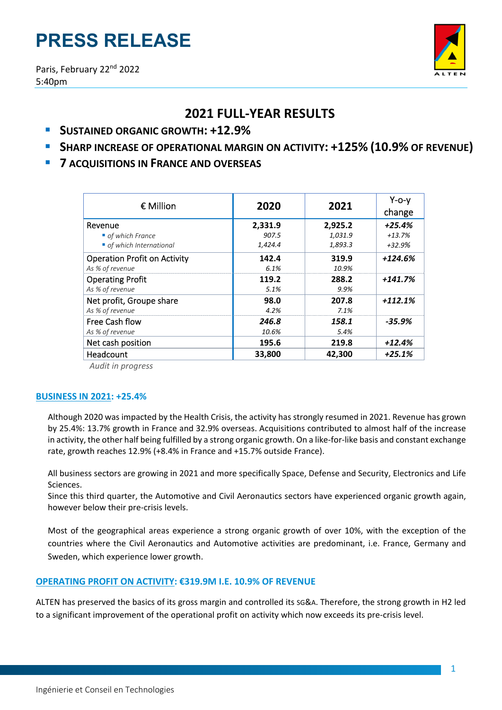# **PRESS RELEASE**



# **2021 FULL‐YEAR RESULTS**

- **SUSTAINED ORGANIC GROWTH: +12.9%**
- **SHARP INCREASE OF OPERATIONAL MARGIN ON ACTIVITY: +125% (10.9% OF REVENUE)**
- **7 ACQUISITIONS IN FRANCE AND OVERSEAS**

| € Million                           | 2020    | 2021    | $Y$ -o-y<br>change |
|-------------------------------------|---------|---------|--------------------|
| Revenue                             | 2,331.9 | 2,925.2 | $+25.4%$           |
| • of which France                   | 907.5   | 1,031.9 | $+13.7%$           |
| • of which International            | 1,424.4 | 1,893.3 | +32.9%             |
| <b>Operation Profit on Activity</b> | 142.4   | 319.9   | $+124.6%$          |
| As % of revenue                     | 6.1%    | 10.9%   |                    |
| <b>Operating Profit</b>             | 119.2   | 288.2   | $+141.7%$          |
| As % of revenue                     | 5.1%    | 9.9%    |                    |
| Net profit, Groupe share            | 98.0    | 207.8   | +112.1%            |
| As % of revenue                     | 4.2%    | 7.1%    |                    |
| <b>Free Cash flow</b>               | 246.8   | 158.1   | -35.9%             |
| As % of revenue                     | 10.6%   | 5.4%    |                    |
| Net cash position                   | 195.6   | 219.8   | $+12.4%$           |
| Headcount                           | 33,800  | 42,300  | $+25.1%$           |

*Audit in progress*

# **BUSINESS IN 2021: +25.4%**

Although 2020 was impacted by the Health Crisis, the activity has strongly resumed in 2021. Revenue has grown by 25.4%: 13.7% growth in France and 32.9% overseas. Acquisitions contributed to almost half of the increase in activity, the other half being fulfilled by a strong organic growth. On a like-for-like basis and constant exchange rate, growth reaches 12.9% (+8.4% in France and +15.7% outside France).

All business sectors are growing in 2021 and more specifically Space, Defense and Security, Electronics and Life Sciences.

Since this third quarter, the Automotive and Civil Aeronautics sectors have experienced organic growth again, however below their pre-crisis levels.

Most of the geographical areas experience a strong organic growth of over 10%, with the exception of the countries where the Civil Aeronautics and Automotive activities are predominant, i.e. France, Germany and Sweden, which experience lower growth.

# **OPERATING PROFIT ON ACTIVITY: €319.9M I.E. 10.9% OF REVENUE**

ALTEN has preserved the basics of its gross margin and controlled its SG&A. Therefore, the strong growth in H2 led to a significant improvement of the operational profit on activity which now exceeds its pre‐crisis level.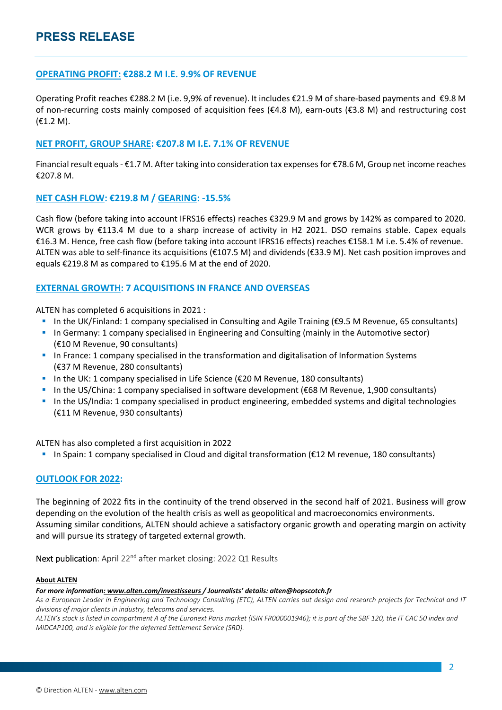# **OPERATING PROFIT: €288.2 M I.E. 9.9% OF REVENUE**

Operating Profit reaches €288.2 M (i.e. 9,9% of revenue). It includes €21.9 M of share‐based payments and €9.8 M of non-recurring costs mainly composed of acquisition fees ( $\epsilon$ 4.8 M), earn-outs ( $\epsilon$ 3.8 M) and restructuring cost (€1.2 M).

# **NET PROFIT, GROUP SHARE: €207.8 M I.E. 7.1% OF REVENUE**

Financial result equals ‐ €1.7 M. After taking into consideration tax expensesfor €78.6 M, Group net income reaches €207.8 M.

# **NET CASH FLOW: €219.8 M / GEARING: ‐15.5%**

Cash flow (before taking into account IFRS16 effects) reaches €329.9 M and grows by 142% as compared to 2020. WCR grows by €113.4 M due to a sharp increase of activity in H2 2021. DSO remains stable. Capex equals €16.3 M. Hence, free cash flow (before taking into account IFRS16 effects) reaches €158.1 M i.e. 5.4% of revenue. ALTEN was able to self‐finance its acquisitions (€107.5 M) and dividends (€33.9 M). Net cash position improves and equals €219.8 M as compared to €195.6 M at the end of 2020.

# **EXTERNAL GROWTH: 7 ACQUISITIONS IN FRANCE AND OVERSEAS**

ALTEN has completed 6 acquisitions in 2021 :

- In the UK/Finland: 1 company specialised in Consulting and Agile Training ( $\epsilon$ 9.5 M Revenue, 65 consultants)
- **In Germany: 1 company specialised in Engineering and Consulting (mainly in the Automotive sector)** (€10 M Revenue, 90 consultants)
- In France: 1 company specialised in the transformation and digitalisation of Information Systems (€37 M Revenue, 280 consultants)
- In the UK: 1 company specialised in Life Science ( $\epsilon$ 20 M Revenue, 180 consultants)
- In the US/China: 1 company specialised in software development (€68 M Revenue, 1,900 consultants)
- In the US/India: 1 company specialised in product engineering, embedded systems and digital technologies (€11 M Revenue, 930 consultants)

ALTEN has also completed a first acquisition in 2022

■ In Spain: 1 company specialised in Cloud and digital transformation (€12 M revenue, 180 consultants)

## **OUTLOOK FOR 2022:**

The beginning of 2022 fits in the continuity of the trend observed in the second half of 2021. Business will grow depending on the evolution of the health crisis as well as geopolitical and macroeconomics environments. Assuming similar conditions, ALTEN should achieve a satisfactory organic growth and operating margin on activity and will pursue its strategy of targeted external growth.

Next publication: April 22<sup>nd</sup> after market closing: 2022 Q1 Results

#### **About ALTEN**

#### *For more information: www.alten.com/investisseurs / Journalists' details: alten@hopscotch.fr*

As a European Leader in Engineering and Technology Consulting (ETC), ALTEN carries out design and research projects for Technical and IT *divisions of major clients in industry, telecoms and services.*

ALTEN's stock is listed in compartment A of the Euronext Paris market (ISIN FR000001946); it is part of the SBF 120, the IT CAC 50 index and *MIDCAP100, and is eligible for the deferred Settlement Service (SRD).*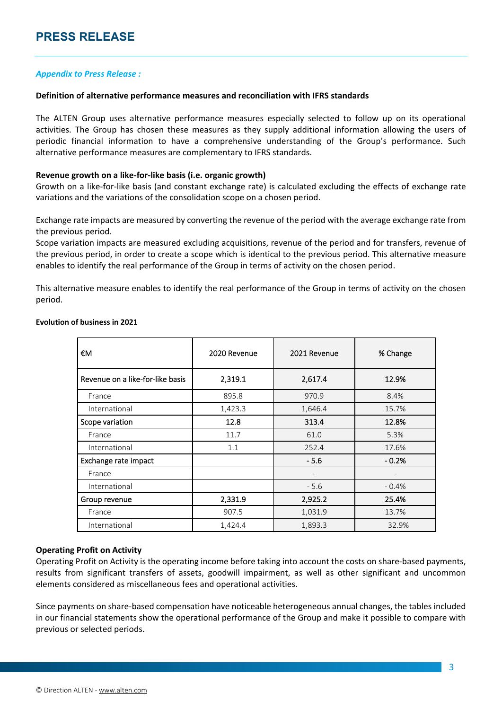# *Appendix to Press Release :*

#### **Definition of alternative performance measures and reconciliation with IFRS standards**

The ALTEN Group uses alternative performance measures especially selected to follow up on its operational activities. The Group has chosen these measures as they supply additional information allowing the users of periodic financial information to have a comprehensive understanding of the Group's performance. Such alternative performance measures are complementary to IFRS standards.

#### **Revenue growth on a like‐for‐like basis (i.e. organic growth)**

Growth on a like‐for‐like basis (and constant exchange rate) is calculated excluding the effects of exchange rate variations and the variations of the consolidation scope on a chosen period.

Exchange rate impacts are measured by converting the revenue of the period with the average exchange rate from the previous period.

Scope variation impacts are measured excluding acquisitions, revenue of the period and for transfers, revenue of the previous period, in order to create a scope which is identical to the previous period. This alternative measure enables to identify the real performance of the Group in terms of activity on the chosen period.

This alternative measure enables to identify the real performance of the Group in terms of activity on the chosen period.

| €M                               | 2020 Revenue | 2021 Revenue | % Change |
|----------------------------------|--------------|--------------|----------|
| Revenue on a like-for-like basis | 2,319.1      | 2,617.4      | 12.9%    |
| France                           | 895.8        | 970.9        | 8.4%     |
| International                    | 1,423.3      | 1,646.4      | 15.7%    |
| Scope variation                  | 12.8         | 313.4        | 12.8%    |
| France                           | 11.7         | 61.0         | 5.3%     |
| International                    | 1.1          | 252.4        | 17.6%    |
| Exchange rate impact             |              | $-5.6$       | $-0.2%$  |
| France                           |              |              |          |
| International                    |              | $-5.6$       | $-0.4%$  |
| Group revenue                    | 2,331.9      | 2,925.2      | 25.4%    |
| France                           | 907.5        | 1,031.9      | 13.7%    |
| International                    | 1,424.4      | 1,893.3      | 32.9%    |

#### **Evolution of business in 2021**

## **Operating Profit on Activity**

Operating Profit on Activity is the operating income before taking into account the costs on share‐based payments, results from significant transfers of assets, goodwill impairment, as well as other significant and uncommon elements considered as miscellaneous fees and operational activities.

Since payments on share‐based compensation have noticeable heterogeneous annual changes, the tables included in our financial statements show the operational performance of the Group and make it possible to compare with previous or selected periods.